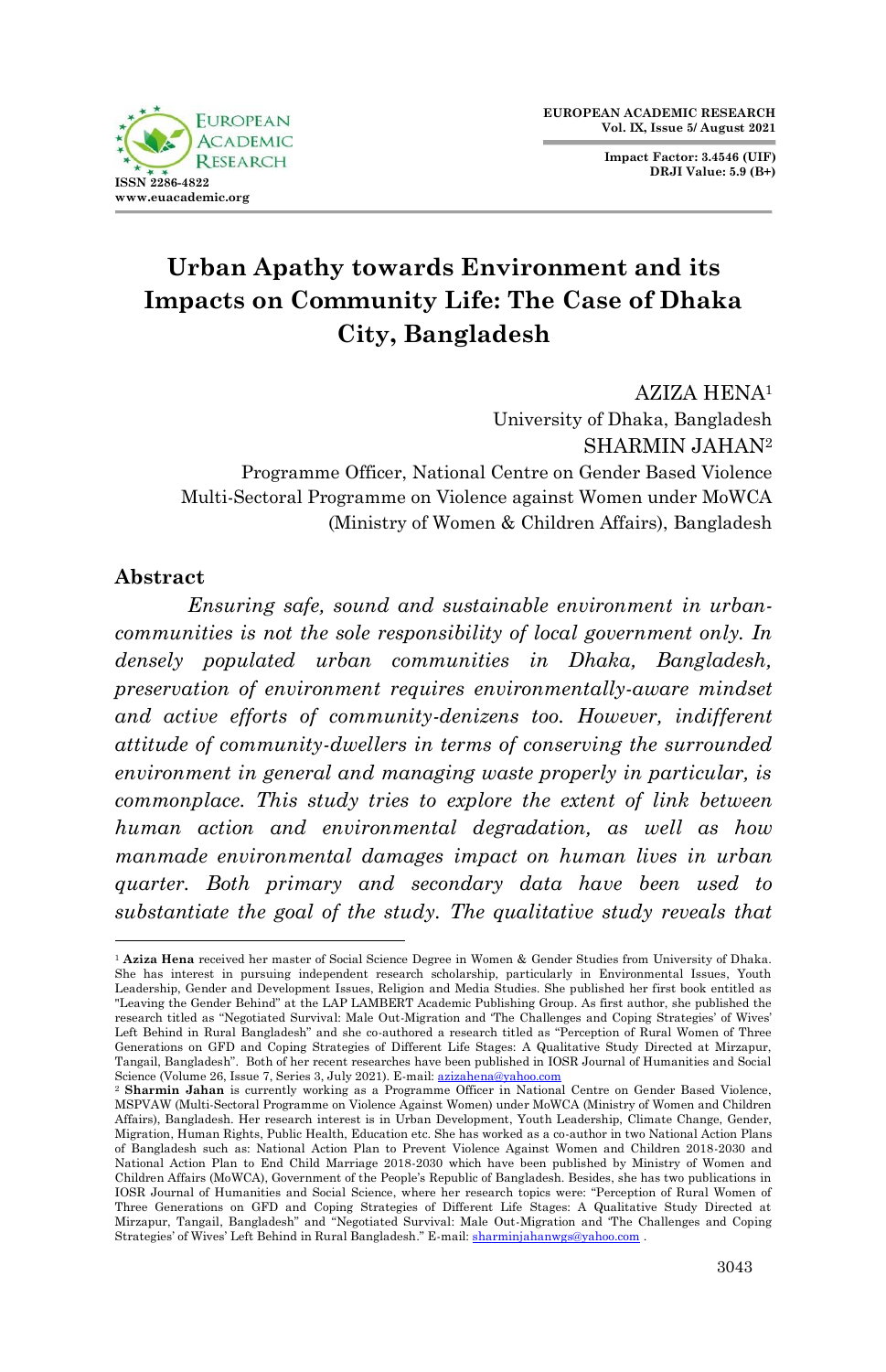**FUROPEAN ACADEMIC RESEARCH ISSN 2286-4822 www.euacademic.org**

**Impact Factor: 3.4546 (UIF) DRJI Value: 5.9 (B+)**

# **Urban Apathy towards Environment and its Impacts on Community Life: The Case of Dhaka City, Bangladesh**

AZIZA HENA<sup>1</sup> University of Dhaka, Bangladesh SHARMIN JAHAN<sup>2</sup> Programme Officer, National Centre on Gender Based Violence Multi-Sectoral Programme on Violence against Women under MoWCA (Ministry of Women & Children Affairs), Bangladesh

#### **Abstract**

1

*Ensuring safe, sound and sustainable environment in urbancommunities is not the sole responsibility of local government only. In densely populated urban communities in Dhaka, Bangladesh, preservation of environment requires environmentally-aware mindset and active efforts of community-denizens too. However, indifferent attitude of community-dwellers in terms of conserving the surrounded environment in general and managing waste properly in particular, is commonplace. This study tries to explore the extent of link between human action and environmental degradation, as well as how manmade environmental damages impact on human lives in urban quarter. Both primary and secondary data have been used to substantiate the goal of the study. The qualitative study reveals that*

<sup>1</sup> **Aziza Hena** received her master of Social Science Degree in Women & Gender Studies from University of Dhaka. She has interest in pursuing independent research scholarship, particularly in Environmental Issues, Youth Leadership, Gender and Development Issues, Religion and Media Studies. She published her first book entitled as "Leaving the Gender Behind" at the LAP LAMBERT Academic Publishing Group. As first author, she published the research titled as "Negotiated Survival: Male Out-Migration and "The Challenges and Coping Strategies" of Wives" Left Behind in Rural Bangladesh" and she co-authored a research titled as "Perception of Rural Women of Three Generations on GFD and Coping Strategies of Different Life Stages: A Qualitative Study Directed at Mirzapur, Tangail, Bangladesh". Both of her recent researches have been published in IOSR Journal of Humanities and Social Science (Volume 26, Issue 7, Series 3, July 2021). E-mail[: azizahena@yahoo.com](mailto:azizahena@yahoo.com) 

<sup>2</sup> **Sharmin Jahan** is currently working as a Programme Officer in National Centre on Gender Based Violence, MSPVAW (Multi-Sectoral Programme on Violence Against Women) under MoWCA (Ministry of Women and Children Affairs), Bangladesh. Her research interest is in Urban Development, Youth Leadership, Climate Change, Gender, Migration, Human Rights, Public Health, Education etc. She has worked as a co-author in two National Action Plans of Bangladesh such as: National Action Plan to Prevent Violence Against Women and Children 2018-2030 and National Action Plan to End Child Marriage 2018-2030 which have been published by Ministry of Women and Children Affairs (MoWCA), Government of the People"s Republic of Bangladesh. Besides, she has two publications in IOSR Journal of Humanities and Social Science, where her research topics were: "Perception of Rural Women of Three Generations on GFD and Coping Strategies of Different Life Stages: A Qualitative Study Directed at Mirzapur, Tangail, Bangladesh" and "Negotiated Survival: Male Out-Migration and "The Challenges and Coping Strategies' of Wives' Left Behind in Rural Bangladesh." E-mail[: sharminjahanwgs@yahoo.com](mailto:sharminjahanwgs@yahoo.com)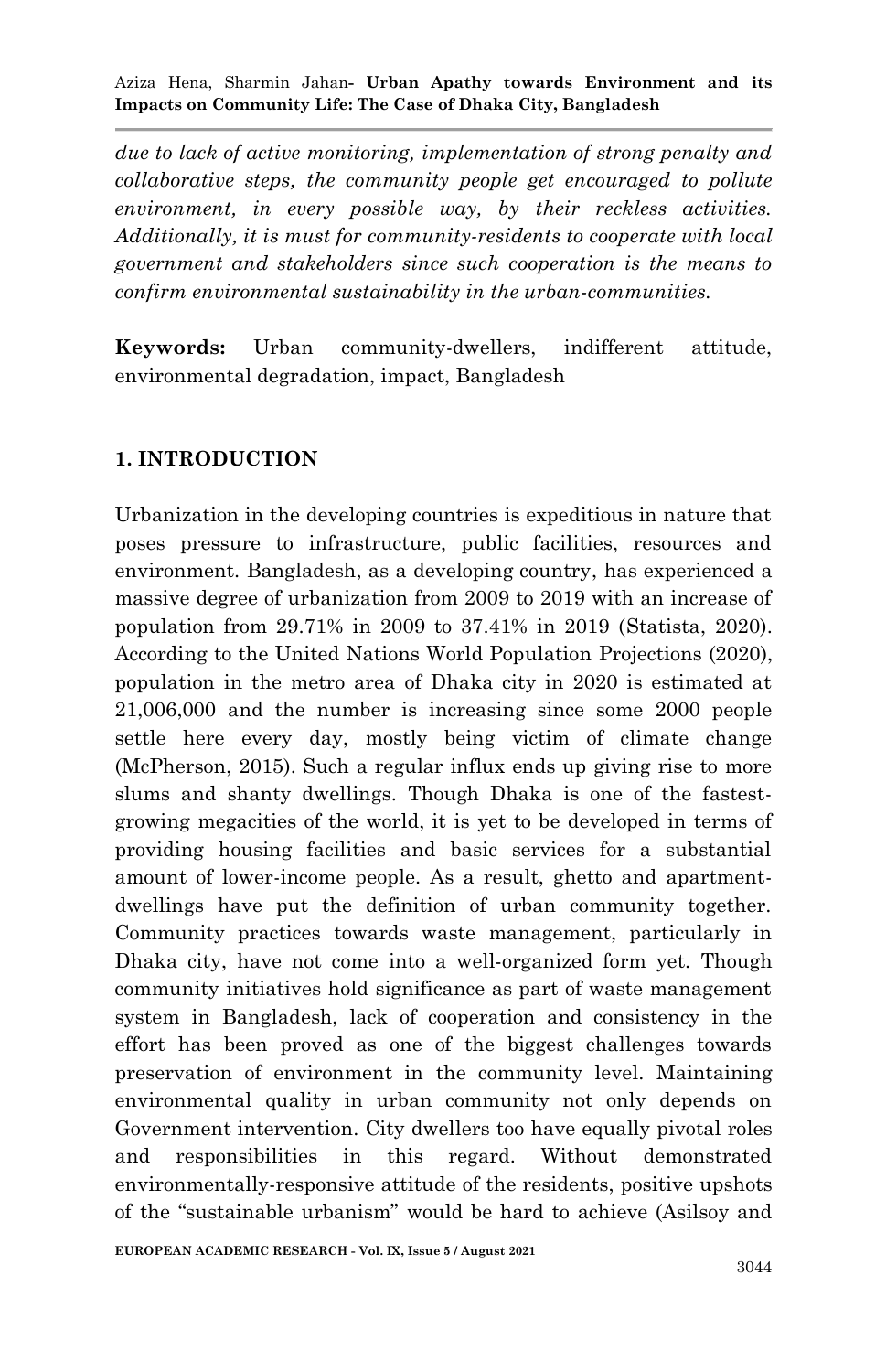*due to lack of active monitoring, implementation of strong penalty and collaborative steps, the community people get encouraged to pollute environment, in every possible way, by their reckless activities. Additionally, it is must for community-residents to cooperate with local government and stakeholders since such cooperation is the means to confirm environmental sustainability in the urban-communities.* 

**Keywords:** Urban community-dwellers, indifferent attitude, environmental degradation, impact, Bangladesh

## **1. INTRODUCTION**

Urbanization in the developing countries is expeditious in nature that poses pressure to infrastructure, public facilities, resources and environment. Bangladesh, as a developing country, has experienced a massive degree of urbanization from 2009 to 2019 with an increase of population from 29.71% in 2009 to 37.41% in 2019 (Statista, 2020). According to the United Nations World Population Projections (2020), population in the metro area of Dhaka city in 2020 is estimated at 21,006,000 and the number is increasing since some 2000 people settle here every day, mostly being victim of climate change (McPherson, 2015). Such a regular influx ends up giving rise to more slums and shanty dwellings. Though Dhaka is one of the fastestgrowing megacities of the world, it is yet to be developed in terms of providing housing facilities and basic services for a substantial amount of lower-income people. As a result, ghetto and apartmentdwellings have put the definition of urban community together. Community practices towards waste management, particularly in Dhaka city, have not come into a well-organized form yet. Though community initiatives hold significance as part of waste management system in Bangladesh, lack of cooperation and consistency in the effort has been proved as one of the biggest challenges towards preservation of environment in the community level. Maintaining environmental quality in urban community not only depends on Government intervention. City dwellers too have equally pivotal roles and responsibilities in this regard. Without demonstrated environmentally-responsive attitude of the residents, positive upshots of the "sustainable urbanism" would be hard to achieve (Asilsoy and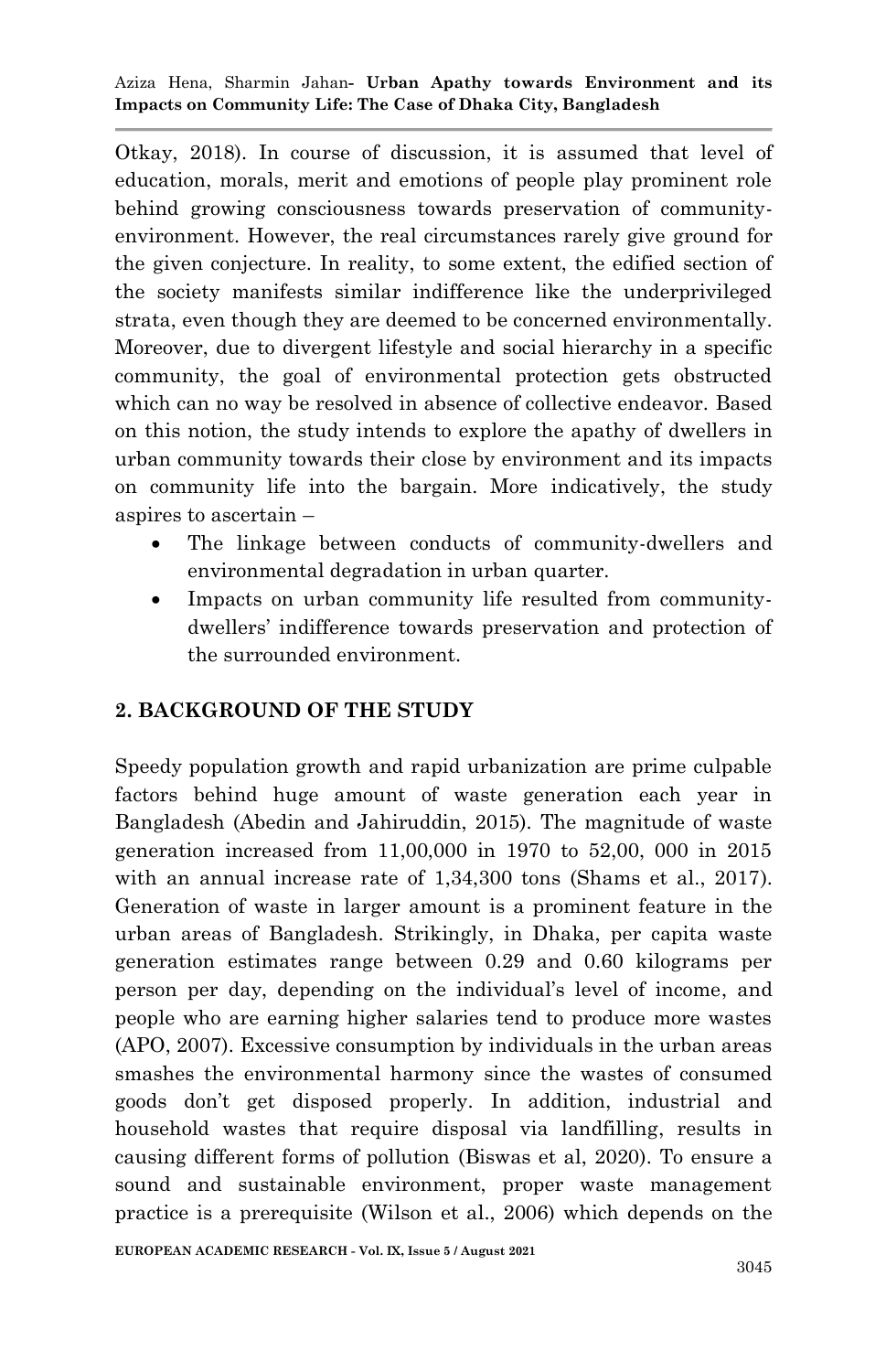Otkay, 2018). In course of discussion, it is assumed that level of education, morals, merit and emotions of people play prominent role behind growing consciousness towards preservation of communityenvironment. However, the real circumstances rarely give ground for the given conjecture. In reality, to some extent, the edified section of the society manifests similar indifference like the underprivileged strata, even though they are deemed to be concerned environmentally. Moreover, due to divergent lifestyle and social hierarchy in a specific community, the goal of environmental protection gets obstructed which can no way be resolved in absence of collective endeavor. Based on this notion, the study intends to explore the apathy of dwellers in urban community towards their close by environment and its impacts on community life into the bargain. More indicatively, the study aspires to ascertain –

- The linkage between conducts of community-dwellers and environmental degradation in urban quarter.
- Impacts on urban community life resulted from communitydwellers" indifference towards preservation and protection of the surrounded environment.

## **2. BACKGROUND OF THE STUDY**

Speedy population growth and rapid urbanization are prime culpable factors behind huge amount of waste generation each year in Bangladesh (Abedin and Jahiruddin, 2015). The magnitude of waste generation increased from 11,00,000 in 1970 to 52,00, 000 in 2015 with an annual increase rate of 1,34,300 tons (Shams et al., 2017). Generation of waste in larger amount is a prominent feature in the urban areas of Bangladesh. Strikingly, in Dhaka, per capita waste generation estimates range between 0.29 and 0.60 kilograms per person per day, depending on the individual"s level of income, and people who are earning higher salaries tend to produce more wastes (APO, 2007). Excessive consumption by individuals in the urban areas smashes the environmental harmony since the wastes of consumed goods don"t get disposed properly. In addition, industrial and household wastes that require disposal via landfilling, results in causing different forms of pollution (Biswas et al, 2020). To ensure a sound and sustainable environment, proper waste management practice is a prerequisite (Wilson et al., 2006) which depends on the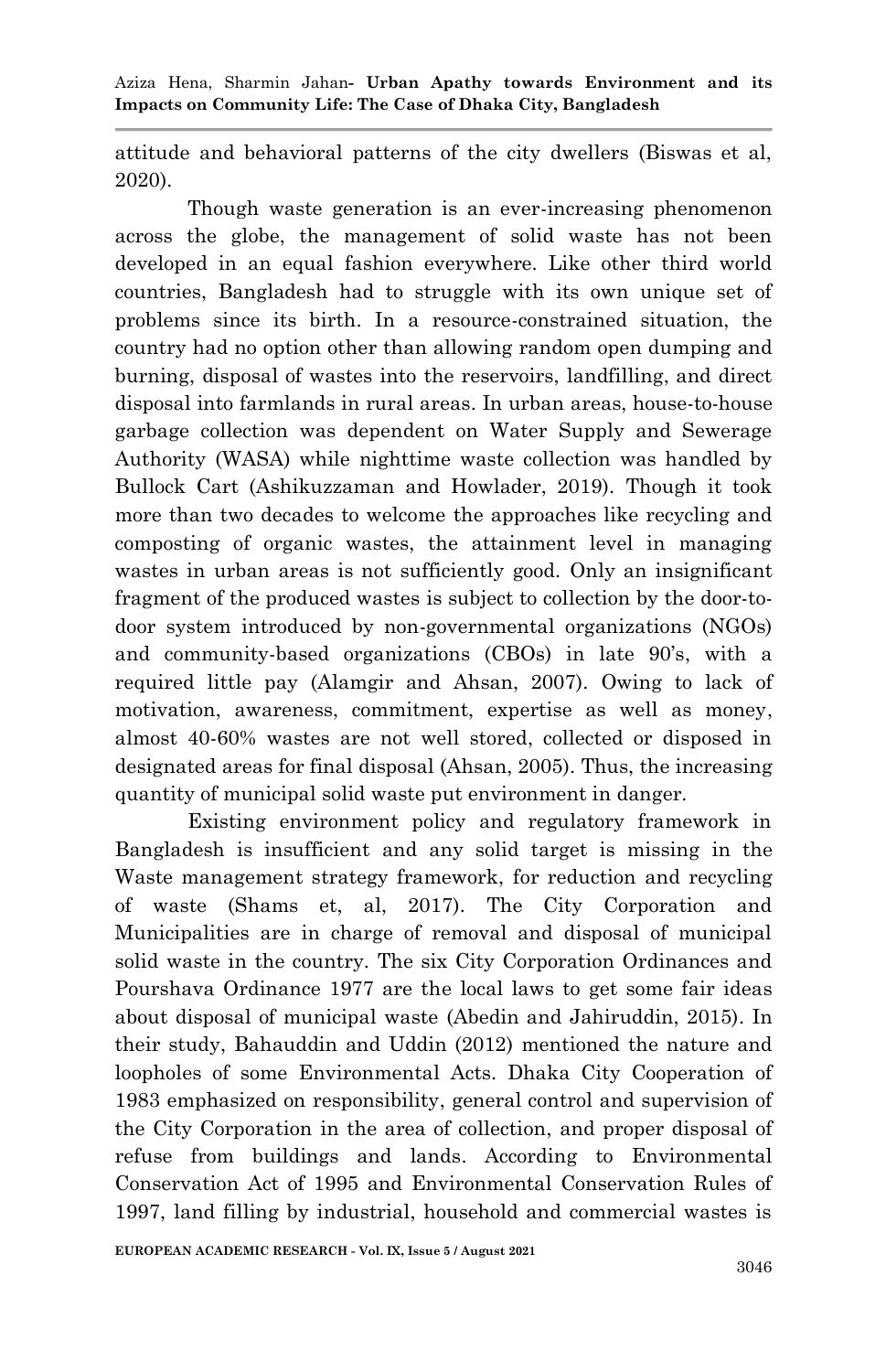attitude and behavioral patterns of the city dwellers (Biswas et al, 2020).

Though waste generation is an ever-increasing phenomenon across the globe, the management of solid waste has not been developed in an equal fashion everywhere. Like other third world countries, Bangladesh had to struggle with its own unique set of problems since its birth. In a resource-constrained situation, the country had no option other than allowing random open dumping and burning, disposal of wastes into the reservoirs, landfilling, and direct disposal into farmlands in rural areas. In urban areas, house-to-house garbage collection was dependent on Water Supply and Sewerage Authority (WASA) while nighttime waste collection was handled by Bullock Cart (Ashikuzzaman and Howlader, 2019). Though it took more than two decades to welcome the approaches like recycling and composting of organic wastes, the attainment level in managing wastes in urban areas is not sufficiently good. Only an insignificant fragment of the produced wastes is subject to collection by the door-todoor system introduced by non-governmental organizations (NGOs) and community-based organizations (CBOs) in late 90"s, with a required little pay (Alamgir and Ahsan, 2007). Owing to lack of motivation, awareness, commitment, expertise as well as money, almost 40-60% wastes are not well stored, collected or disposed in designated areas for final disposal (Ahsan, 2005). Thus, the increasing quantity of municipal solid waste put environment in danger.

Existing environment policy and regulatory framework in Bangladesh is insufficient and any solid target is missing in the Waste management strategy framework, for reduction and recycling of waste (Shams et, al, 2017). The City Corporation and Municipalities are in charge of removal and disposal of municipal solid waste in the country. The six City Corporation Ordinances and Pourshava Ordinance 1977 are the local laws to get some fair ideas about disposal of municipal waste (Abedin and Jahiruddin, 2015). In their study, Bahauddin and Uddin (2012) mentioned the nature and loopholes of some Environmental Acts. Dhaka City Cooperation of 1983 emphasized on responsibility, general control and supervision of the City Corporation in the area of collection, and proper disposal of refuse from buildings and lands. According to Environmental Conservation Act of 1995 and Environmental Conservation Rules of 1997, land filling by industrial, household and commercial wastes is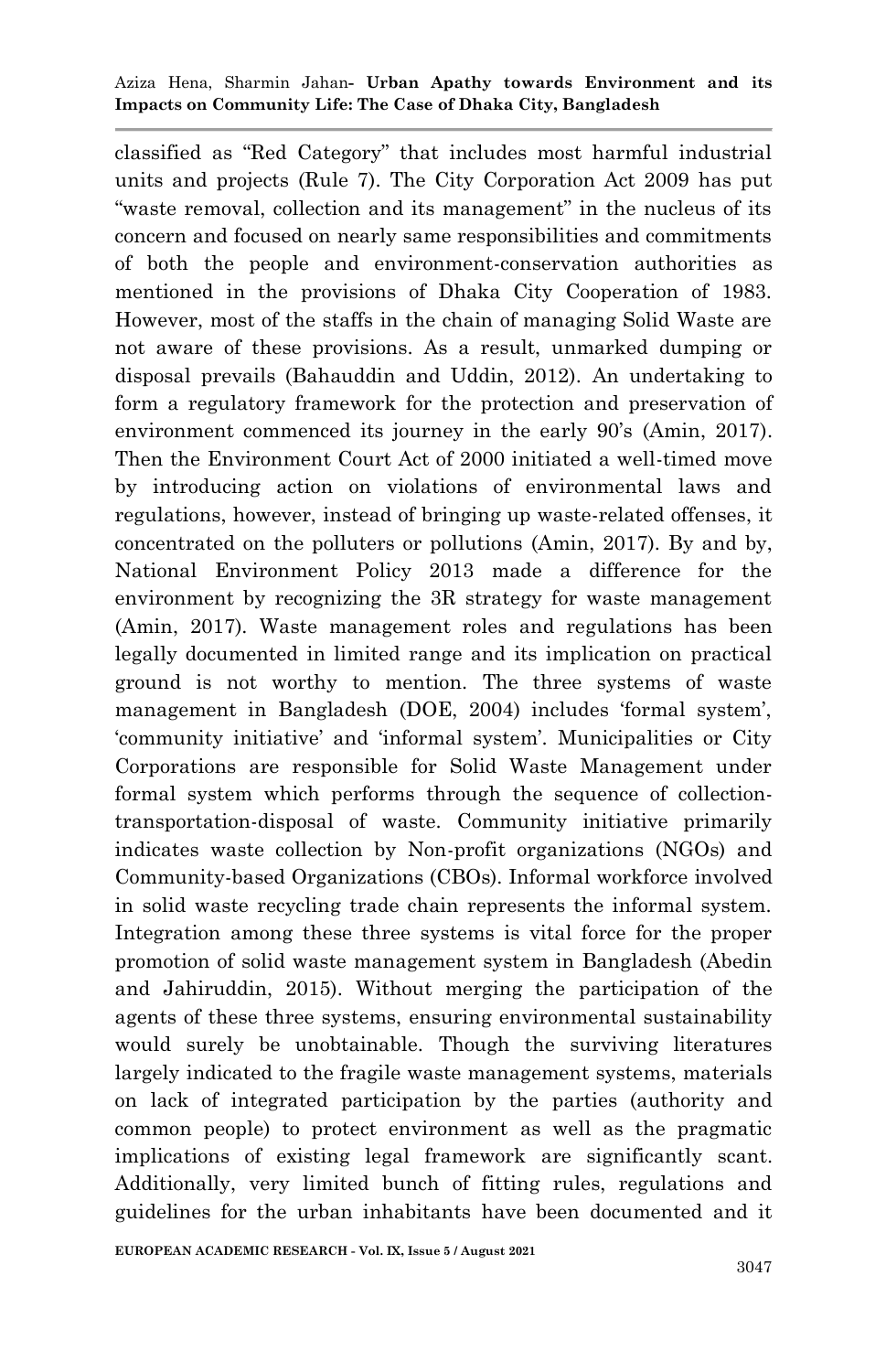classified as "Red Category" that includes most harmful industrial units and projects (Rule 7). The City Corporation Act 2009 has put "waste removal, collection and its management" in the nucleus of its concern and focused on nearly same responsibilities and commitments of both the people and environment-conservation authorities as mentioned in the provisions of Dhaka City Cooperation of 1983. However, most of the staffs in the chain of managing Solid Waste are not aware of these provisions. As a result, unmarked dumping or disposal prevails (Bahauddin and Uddin, 2012). An undertaking to form a regulatory framework for the protection and preservation of environment commenced its journey in the early 90's (Amin, 2017). Then the Environment Court Act of 2000 initiated a well-timed move by introducing action on violations of environmental laws and regulations, however, instead of bringing up waste-related offenses, it concentrated on the polluters or pollutions (Amin, 2017). By and by, National Environment Policy 2013 made a difference for the environment by recognizing the 3R strategy for waste management (Amin, 2017). Waste management roles and regulations has been legally documented in limited range and its implication on practical ground is not worthy to mention. The three systems of waste management in Bangladesh (DOE, 2004) includes "formal system", "community initiative" and "informal system". Municipalities or City Corporations are responsible for Solid Waste Management under formal system which performs through the sequence of collectiontransportation-disposal of waste. Community initiative primarily indicates waste collection by Non-profit organizations (NGOs) and Community-based Organizations (CBOs). Informal workforce involved in solid waste recycling trade chain represents the informal system. Integration among these three systems is vital force for the proper promotion of solid waste management system in Bangladesh (Abedin and Jahiruddin, 2015). Without merging the participation of the agents of these three systems, ensuring environmental sustainability would surely be unobtainable. Though the surviving literatures largely indicated to the fragile waste management systems, materials on lack of integrated participation by the parties (authority and common people) to protect environment as well as the pragmatic implications of existing legal framework are significantly scant. Additionally, very limited bunch of fitting rules, regulations and guidelines for the urban inhabitants have been documented and it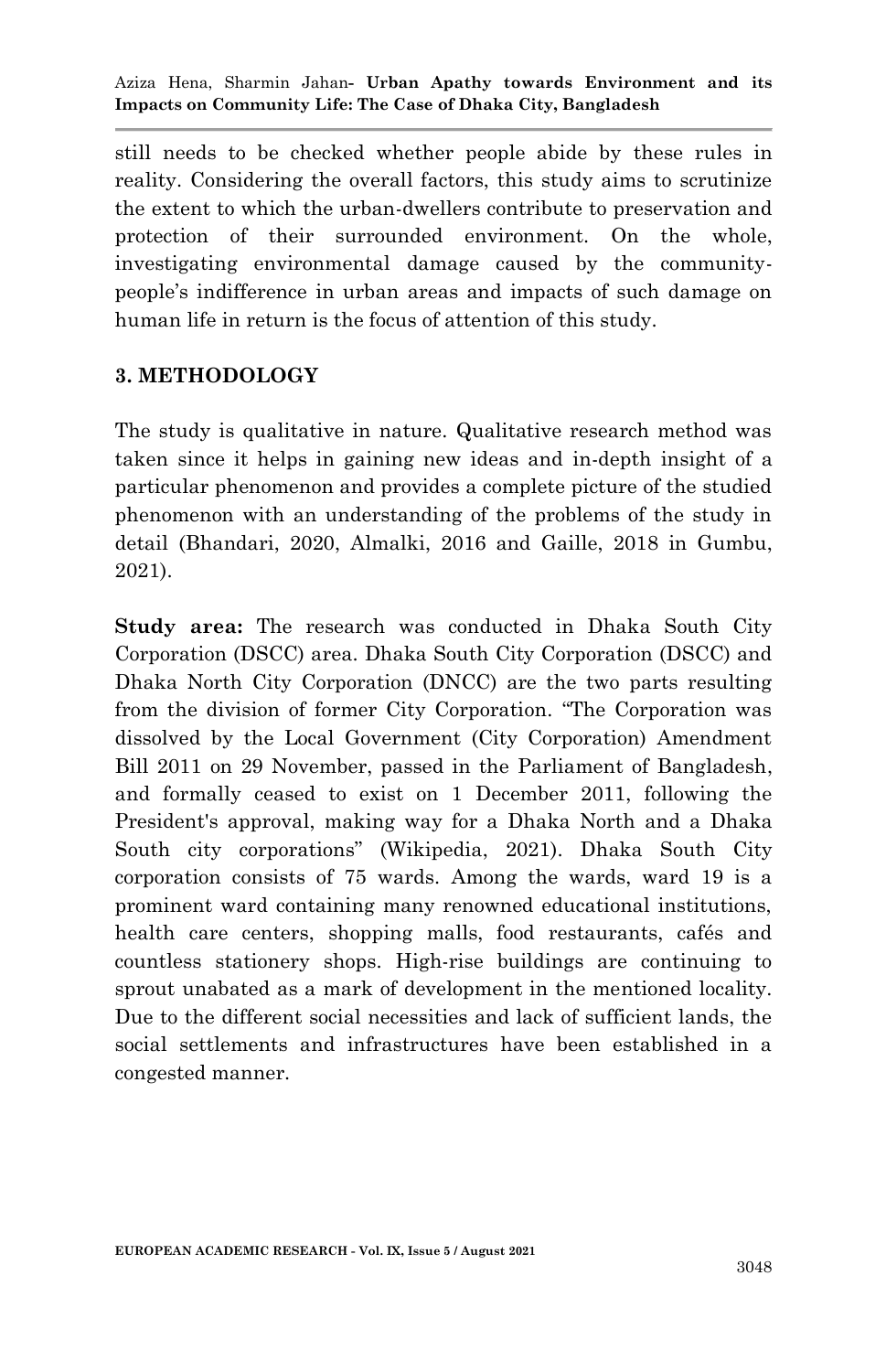still needs to be checked whether people abide by these rules in reality. Considering the overall factors, this study aims to scrutinize the extent to which the urban-dwellers contribute to preservation and protection of their surrounded environment. On the whole, investigating environmental damage caused by the communitypeople"s indifference in urban areas and impacts of such damage on human life in return is the focus of attention of this study.

#### **3. METHODOLOGY**

The study is qualitative in nature. Qualitative research method was taken since it helps in gaining new ideas and in-depth insight of a particular phenomenon and provides a complete picture of the studied phenomenon with an understanding of the problems of the study in detail (Bhandari, 2020, Almalki, 2016 and Gaille, 2018 in Gumbu, 2021).

**Study area:** The research was conducted in Dhaka South City Corporation (DSCC) area. Dhaka South City Corporation (DSCC) and Dhaka North City Corporation (DNCC) are the two parts resulting from the division of former City Corporation. "The Corporation was dissolved by the Local Government (City Corporation) Amendment Bill 2011 on 29 November, passed in the Parliament of Bangladesh, and formally ceased to exist on 1 December 2011, following the President's approval, making way for a Dhaka North and a Dhaka South city corporations" (Wikipedia, 2021). Dhaka South City corporation consists of 75 wards. Among the wards, ward 19 is a prominent ward containing many renowned educational institutions, health care centers, shopping malls, food restaurants, cafés and countless stationery shops. High-rise buildings are continuing to sprout unabated as a mark of development in the mentioned locality. Due to the different social necessities and lack of sufficient lands, the social settlements and infrastructures have been established in a congested manner.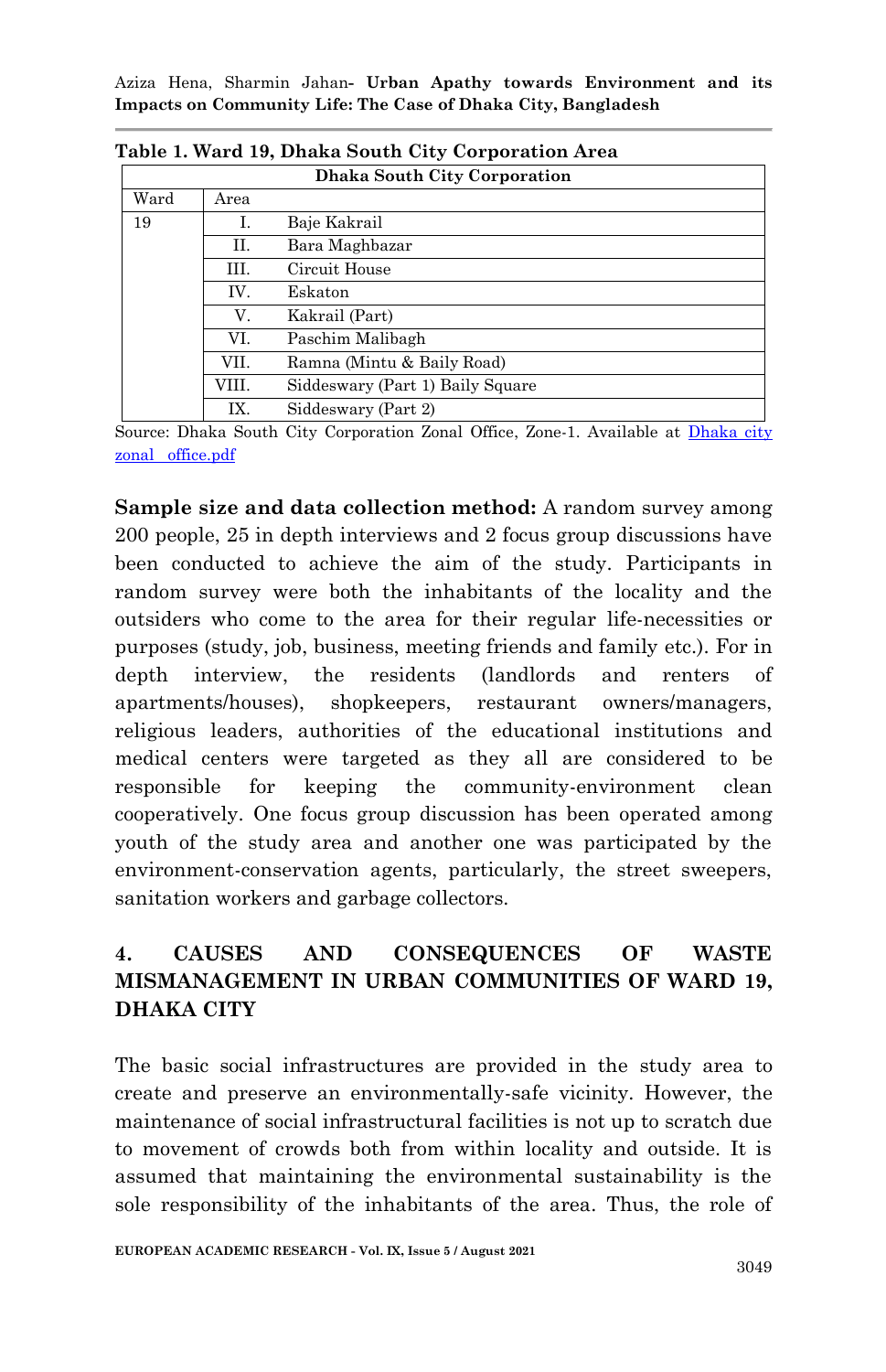| Dhaka South City Corporation |       |                                  |  |  |  |  |  |
|------------------------------|-------|----------------------------------|--|--|--|--|--|
| Ward                         | Area  |                                  |  |  |  |  |  |
| 19                           | Ī.    | Baje Kakrail                     |  |  |  |  |  |
|                              | П.    | Bara Maghbazar                   |  |  |  |  |  |
|                              | Ш.    | Circuit House                    |  |  |  |  |  |
|                              | IV.   | Eskaton                          |  |  |  |  |  |
|                              | V.    | Kakrail (Part)                   |  |  |  |  |  |
|                              | VI.   | Paschim Malibagh                 |  |  |  |  |  |
|                              | VII.  | Ramna (Mintu & Baily Road)       |  |  |  |  |  |
|                              | VIII. | Siddeswary (Part 1) Baily Square |  |  |  |  |  |
|                              | IX.   | Siddeswary (Part 2)              |  |  |  |  |  |

|  |  |  |  |  | Table 1. Ward 19, Dhaka South City Corporation Area |
|--|--|--|--|--|-----------------------------------------------------|
|--|--|--|--|--|-----------------------------------------------------|

Source: Dhaka South City Corporation Zonal Office, Zone-1. Available at Dhaka city [zonal office.pdf](file:///C:/Users/HP/Downloads/Dhaka%20city%20zonal%20office.pdf)

**Sample size and data collection method:** A random survey among 200 people, 25 in depth interviews and 2 focus group discussions have been conducted to achieve the aim of the study. Participants in random survey were both the inhabitants of the locality and the outsiders who come to the area for their regular life-necessities or purposes (study, job, business, meeting friends and family etc.). For in depth interview, the residents (landlords and renters of apartments/houses), shopkeepers, restaurant owners/managers, religious leaders, authorities of the educational institutions and medical centers were targeted as they all are considered to be responsible for keeping the community-environment clean cooperatively. One focus group discussion has been operated among youth of the study area and another one was participated by the environment-conservation agents, particularly, the street sweepers, sanitation workers and garbage collectors.

## **4. CAUSES AND CONSEQUENCES OF WASTE MISMANAGEMENT IN URBAN COMMUNITIES OF WARD 19, DHAKA CITY**

The basic social infrastructures are provided in the study area to create and preserve an environmentally-safe vicinity. However, the maintenance of social infrastructural facilities is not up to scratch due to movement of crowds both from within locality and outside. It is assumed that maintaining the environmental sustainability is the sole responsibility of the inhabitants of the area. Thus, the role of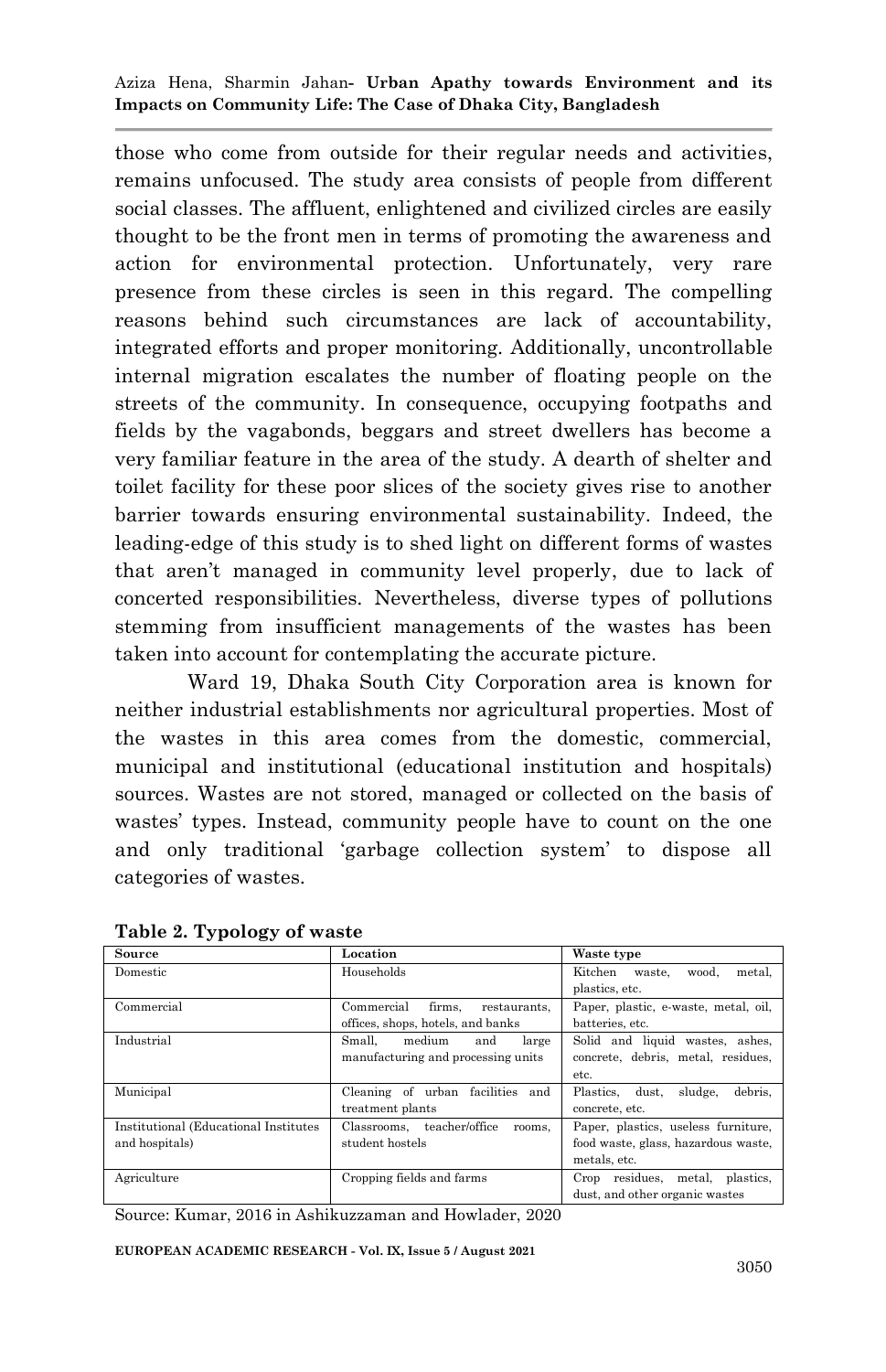those who come from outside for their regular needs and activities, remains unfocused. The study area consists of people from different social classes. The affluent, enlightened and civilized circles are easily thought to be the front men in terms of promoting the awareness and action for environmental protection. Unfortunately, very rare presence from these circles is seen in this regard. The compelling reasons behind such circumstances are lack of accountability, integrated efforts and proper monitoring. Additionally, uncontrollable internal migration escalates the number of floating people on the streets of the community. In consequence, occupying footpaths and fields by the vagabonds, beggars and street dwellers has become a very familiar feature in the area of the study. A dearth of shelter and toilet facility for these poor slices of the society gives rise to another barrier towards ensuring environmental sustainability. Indeed, the leading-edge of this study is to shed light on different forms of wastes that aren"t managed in community level properly, due to lack of concerted responsibilities. Nevertheless, diverse types of pollutions stemming from insufficient managements of the wastes has been taken into account for contemplating the accurate picture.

Ward 19, Dhaka South City Corporation area is known for neither industrial establishments nor agricultural properties. Most of the wastes in this area comes from the domestic, commercial, municipal and institutional (educational institution and hospitals) sources. Wastes are not stored, managed or collected on the basis of wastes' types. Instead, community people have to count on the one and only traditional "garbage collection system" to dispose all categories of wastes.

| Source                                 | Location                             | Waste type                               |
|----------------------------------------|--------------------------------------|------------------------------------------|
| Domestic                               | Households                           | Kitchen<br>metal,<br>waste.<br>wood.     |
|                                        |                                      | plastics, etc.                           |
| Commercial                             | firms.<br>Commercial<br>restaurants. | Paper, plastic, e-waste, metal, oil,     |
|                                        | offices, shops, hotels, and banks    | batteries, etc.                          |
| Industrial                             | medium<br>Small.<br>and<br>large     | Solid and liquid wastes, ashes,          |
|                                        | manufacturing and processing units   | concrete, debris, metal, residues,       |
|                                        |                                      | etc.                                     |
| Municipal                              | Cleaning of urban facilities<br>and  | sludge,<br>debris.<br>dust.<br>Plastics. |
|                                        | treatment plants                     | concrete, etc.                           |
| Institutional (Educational Institutes) | Classrooms, teacher/office<br>rooms. | Paper, plastics, useless furniture,      |
| and hospitals)                         | student hostels                      | food waste, glass, hazardous waste,      |
|                                        |                                      | metals, etc.                             |
| Agriculture                            | Cropping fields and farms            | Crop residues, metal,<br>plastics.       |
|                                        |                                      | dust, and other organic wastes           |

**Table 2. Typology of waste**

Source: Kumar, 2016 in Ashikuzzaman and Howlader, 2020

**EUROPEAN ACADEMIC RESEARCH - Vol. IX, Issue 5 / August 2021**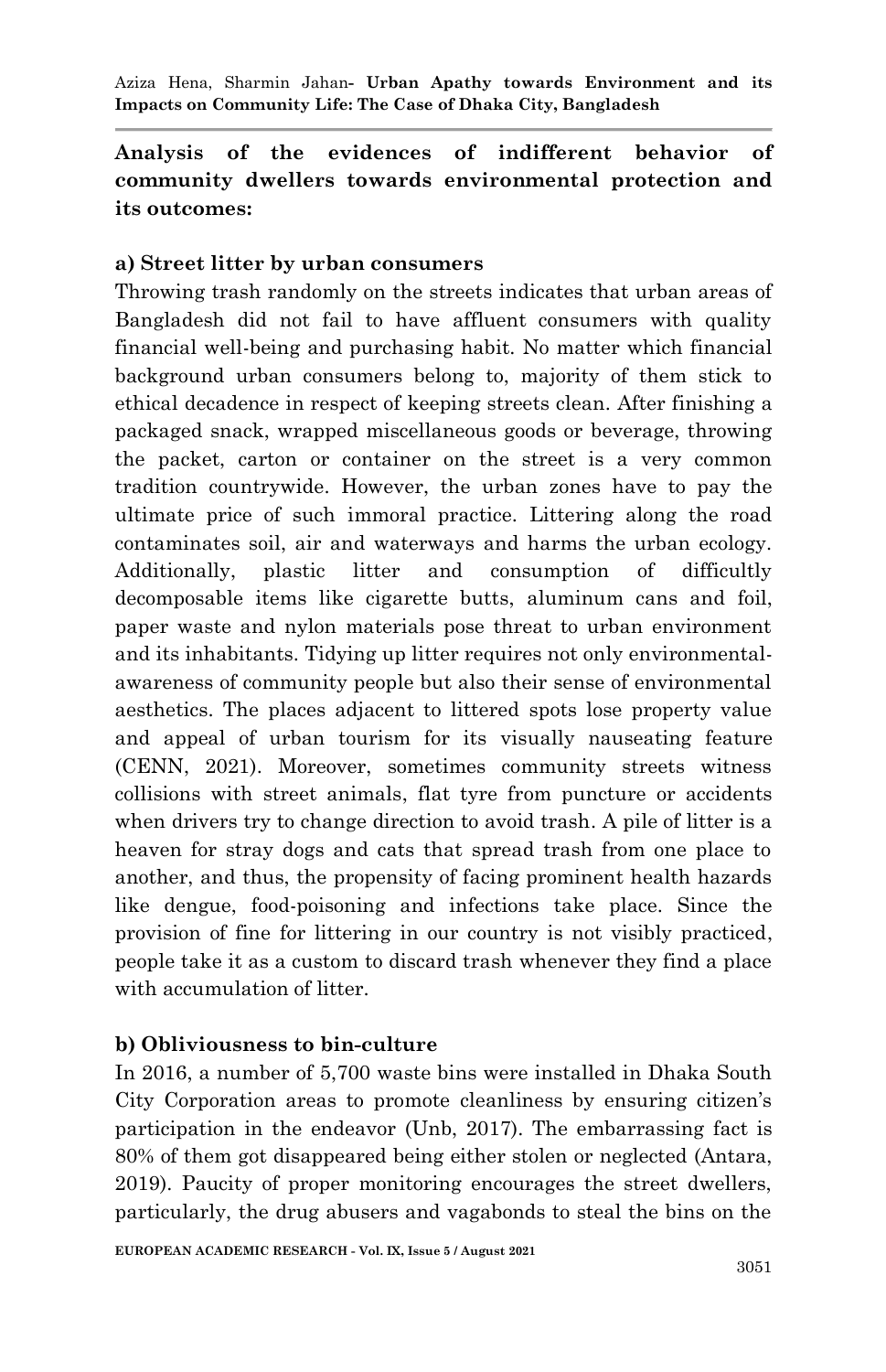## **Analysis of the evidences of indifferent behavior of community dwellers towards environmental protection and its outcomes:**

#### **a) Street litter by urban consumers**

Throwing trash randomly on the streets indicates that urban areas of Bangladesh did not fail to have affluent consumers with quality financial well-being and purchasing habit. No matter which financial background urban consumers belong to, majority of them stick to ethical decadence in respect of keeping streets clean. After finishing a packaged snack, wrapped miscellaneous goods or beverage, throwing the packet, carton or container on the street is a very common tradition countrywide. However, the urban zones have to pay the ultimate price of such immoral practice. Littering along the road contaminates soil, air and waterways and harms the urban ecology. Additionally, plastic litter and consumption of difficultly decomposable items like cigarette butts, aluminum cans and foil, paper waste and nylon materials pose threat to urban environment and its inhabitants. Tidying up litter requires not only environmentalawareness of community people but also their sense of environmental aesthetics. The places adjacent to littered spots lose property value and appeal of urban tourism for its visually nauseating feature (CENN, 2021). Moreover, sometimes community streets witness collisions with street animals, flat tyre from puncture or accidents when drivers try to change direction to avoid trash. A pile of litter is a heaven for stray dogs and cats that spread trash from one place to another, and thus, the propensity of facing prominent health hazards like dengue, food-poisoning and infections take place. Since the provision of fine for littering in our country is not visibly practiced, people take it as a custom to discard trash whenever they find a place with accumulation of litter.

#### **b) Obliviousness to bin-culture**

In 2016, a number of 5,700 waste bins were installed in Dhaka South City Corporation areas to promote cleanliness by ensuring citizen"s participation in the endeavor (Unb, 2017). The embarrassing fact is 80% of them got disappeared being either stolen or neglected (Antara, 2019). Paucity of proper monitoring encourages the street dwellers, particularly, the drug abusers and vagabonds to steal the bins on the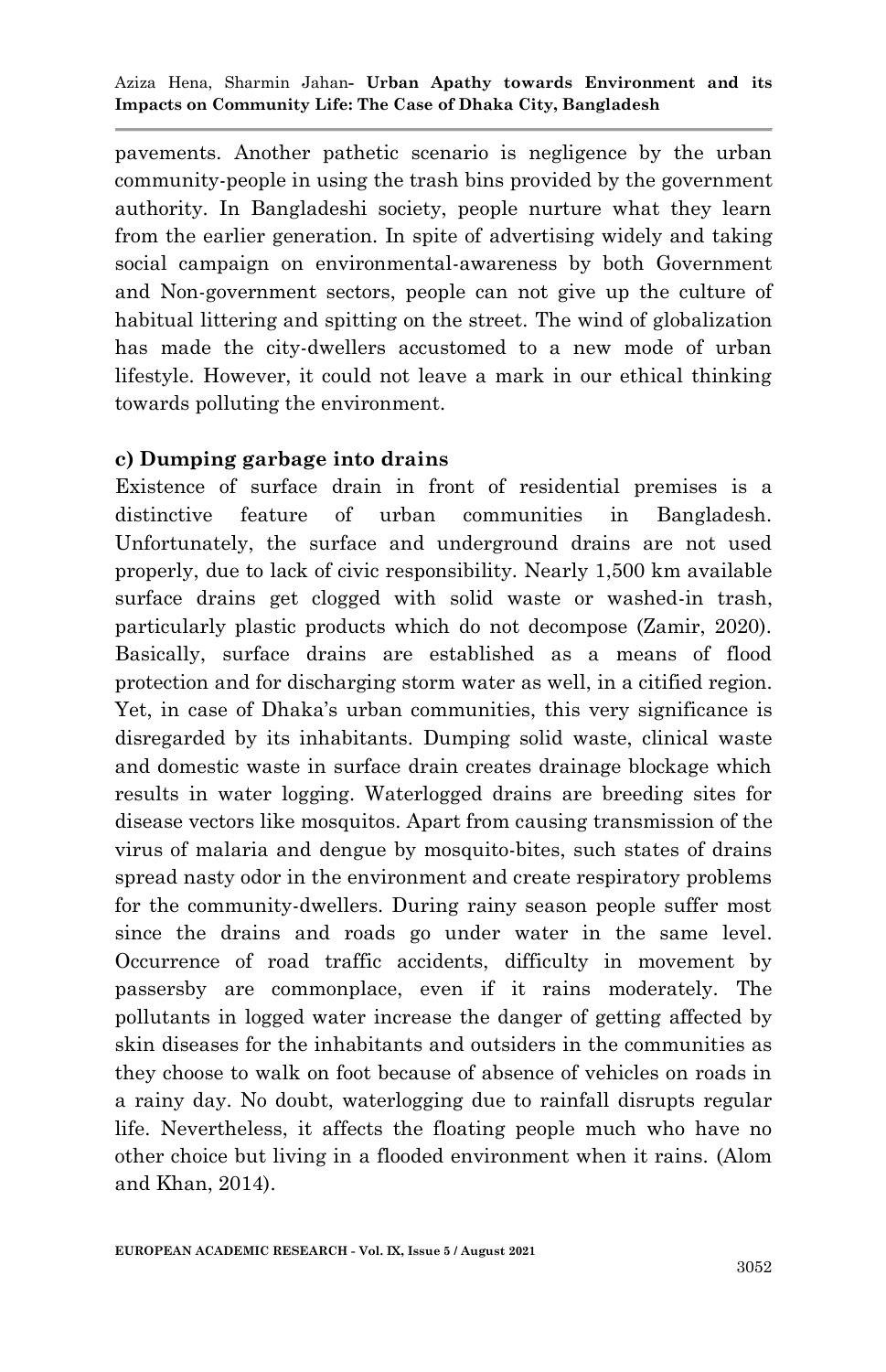pavements. Another pathetic scenario is negligence by the urban community-people in using the trash bins provided by the government authority. In Bangladeshi society, people nurture what they learn from the earlier generation. In spite of advertising widely and taking social campaign on environmental-awareness by both Government and Non-government sectors, people can not give up the culture of habitual littering and spitting on the street. The wind of globalization has made the city-dwellers accustomed to a new mode of urban lifestyle. However, it could not leave a mark in our ethical thinking towards polluting the environment.

#### **c) Dumping garbage into drains**

Existence of surface drain in front of residential premises is a distinctive feature of urban communities in Bangladesh. Unfortunately, the surface and underground drains are not used properly, due to lack of civic responsibility. Nearly 1,500 km available surface drains get clogged with solid waste or washed-in trash, particularly plastic products which do not decompose (Zamir, 2020). Basically, surface drains are established as a means of flood protection and for discharging storm water as well, in a citified region. Yet, in case of Dhaka's urban communities, this very significance is disregarded by its inhabitants. Dumping solid waste, clinical waste and domestic waste in surface drain creates drainage blockage which results in water logging. Waterlogged drains are breeding sites for disease vectors like mosquitos. Apart from causing transmission of the virus of malaria and dengue by mosquito-bites, such states of drains spread nasty odor in the environment and create respiratory problems for the community-dwellers. During rainy season people suffer most since the drains and roads go under water in the same level. Occurrence of road traffic accidents, difficulty in movement by passersby are commonplace, even if it rains moderately. The pollutants in logged water increase the danger of getting affected by skin diseases for the inhabitants and outsiders in the communities as they choose to walk on foot because of absence of vehicles on roads in a rainy day. No doubt, waterlogging due to rainfall disrupts regular life. Nevertheless, it affects the floating people much who have no other choice but living in a flooded environment when it rains. (Alom and Khan, 2014).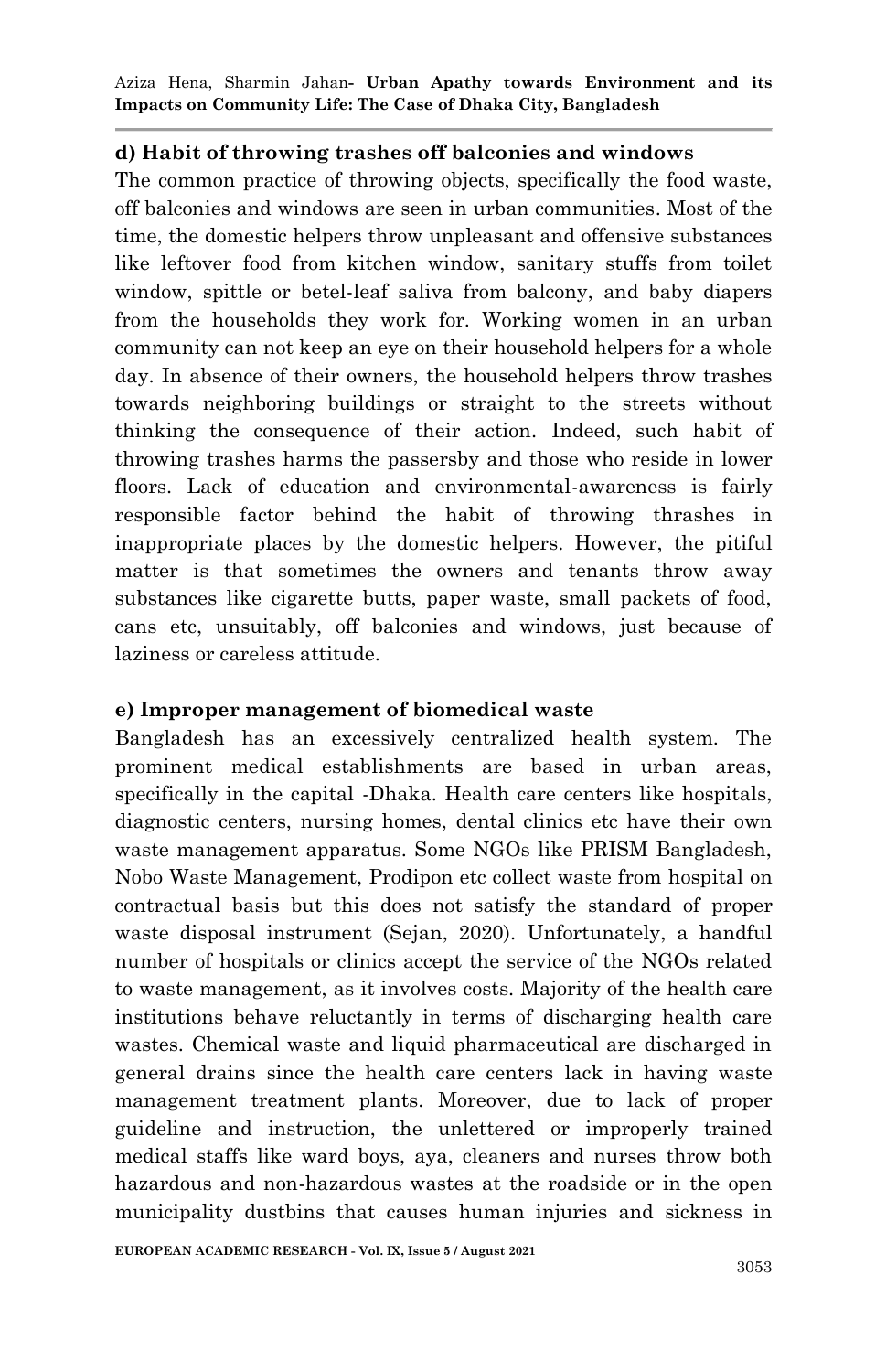#### **d) Habit of throwing trashes off balconies and windows**

The common practice of throwing objects, specifically the food waste, off balconies and windows are seen in urban communities. Most of the time, the domestic helpers throw unpleasant and offensive substances like leftover food from kitchen window, sanitary stuffs from toilet window, spittle or betel-leaf saliva from balcony, and baby diapers from the households they work for. Working women in an urban community can not keep an eye on their household helpers for a whole day. In absence of their owners, the household helpers throw trashes towards neighboring buildings or straight to the streets without thinking the consequence of their action. Indeed, such habit of throwing trashes harms the passersby and those who reside in lower floors. Lack of education and environmental-awareness is fairly responsible factor behind the habit of throwing thrashes in inappropriate places by the domestic helpers. However, the pitiful matter is that sometimes the owners and tenants throw away substances like cigarette butts, paper waste, small packets of food, cans etc, unsuitably, off balconies and windows, just because of laziness or careless attitude.

#### **e) Improper management of biomedical waste**

Bangladesh has an excessively centralized health system. The prominent medical establishments are based in urban areas, specifically in the capital -Dhaka. Health care centers like hospitals, diagnostic centers, nursing homes, dental clinics etc have their own waste management apparatus. Some NGOs like PRISM Bangladesh, Nobo Waste Management, Prodipon etc collect waste from hospital on contractual basis but this does not satisfy the standard of proper waste disposal instrument (Sejan, 2020). Unfortunately, a handful number of hospitals or clinics accept the service of the NGOs related to waste management, as it involves costs. Majority of the health care institutions behave reluctantly in terms of discharging health care wastes. Chemical waste and liquid pharmaceutical are discharged in general drains since the health care centers lack in having waste management treatment plants. Moreover, due to lack of proper guideline and instruction, the unlettered or improperly trained medical staffs like ward boys, aya, cleaners and nurses throw both hazardous and non-hazardous wastes at the roadside or in the open municipality dustbins that causes human injuries and sickness in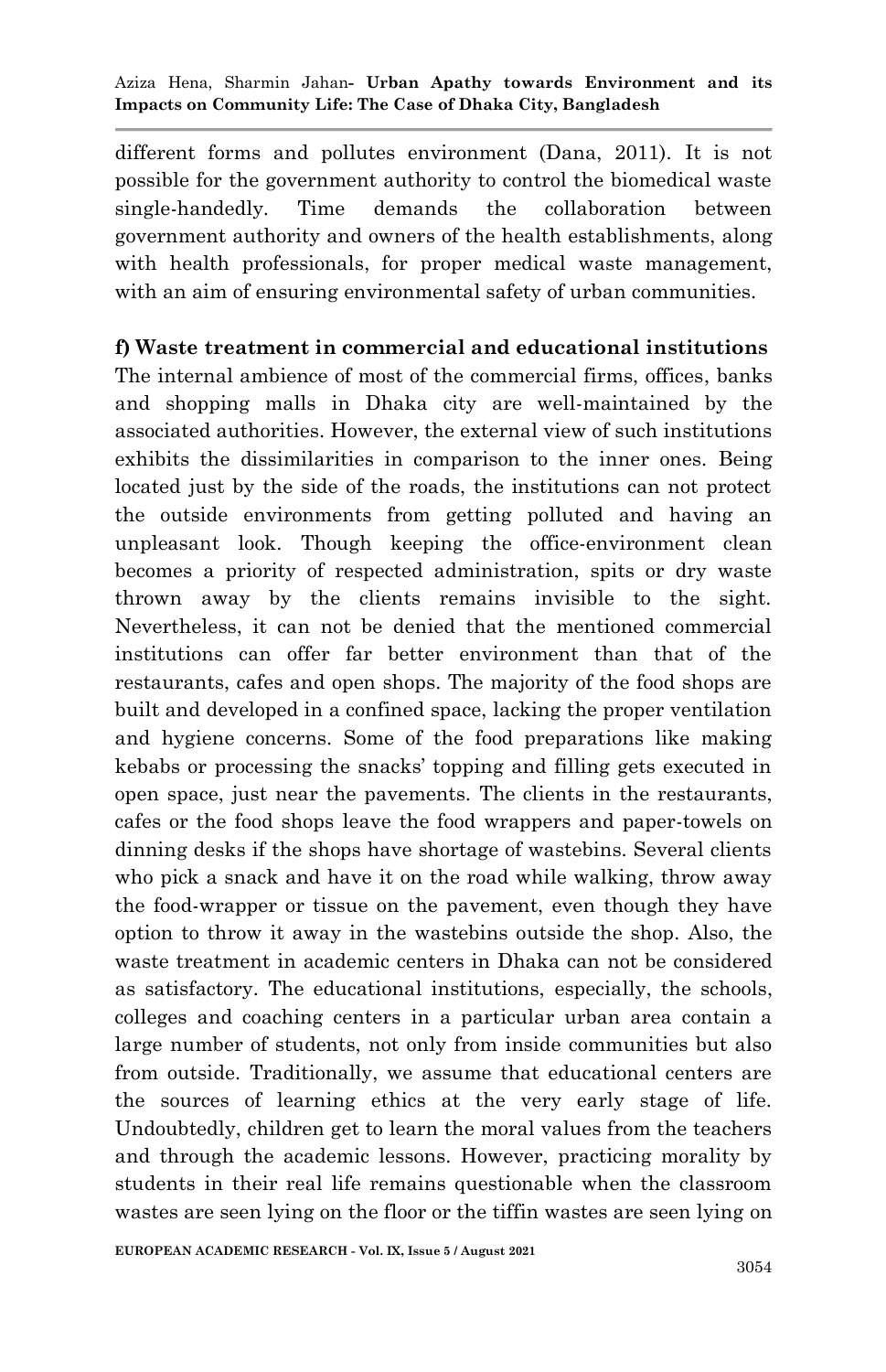different forms and pollutes environment (Dana, 2011). It is not possible for the government authority to control the biomedical waste single-handedly. Time demands the collaboration between government authority and owners of the health establishments, along with health professionals, for proper medical waste management, with an aim of ensuring environmental safety of urban communities.

#### **f) Waste treatment in commercial and educational institutions**

The internal ambience of most of the commercial firms, offices, banks and shopping malls in Dhaka city are well-maintained by the associated authorities. However, the external view of such institutions exhibits the dissimilarities in comparison to the inner ones. Being located just by the side of the roads, the institutions can not protect the outside environments from getting polluted and having an unpleasant look. Though keeping the office-environment clean becomes a priority of respected administration, spits or dry waste thrown away by the clients remains invisible to the sight. Nevertheless, it can not be denied that the mentioned commercial institutions can offer far better environment than that of the restaurants, cafes and open shops. The majority of the food shops are built and developed in a confined space, lacking the proper ventilation and hygiene concerns. Some of the food preparations like making kebabs or processing the snacks" topping and filling gets executed in open space, just near the pavements. The clients in the restaurants, cafes or the food shops leave the food wrappers and paper-towels on dinning desks if the shops have shortage of wastebins. Several clients who pick a snack and have it on the road while walking, throw away the food-wrapper or tissue on the pavement, even though they have option to throw it away in the wastebins outside the shop. Also, the waste treatment in academic centers in Dhaka can not be considered as satisfactory. The educational institutions, especially, the schools, colleges and coaching centers in a particular urban area contain a large number of students, not only from inside communities but also from outside. Traditionally, we assume that educational centers are the sources of learning ethics at the very early stage of life. Undoubtedly, children get to learn the moral values from the teachers and through the academic lessons. However, practicing morality by students in their real life remains questionable when the classroom wastes are seen lying on the floor or the tiffin wastes are seen lying on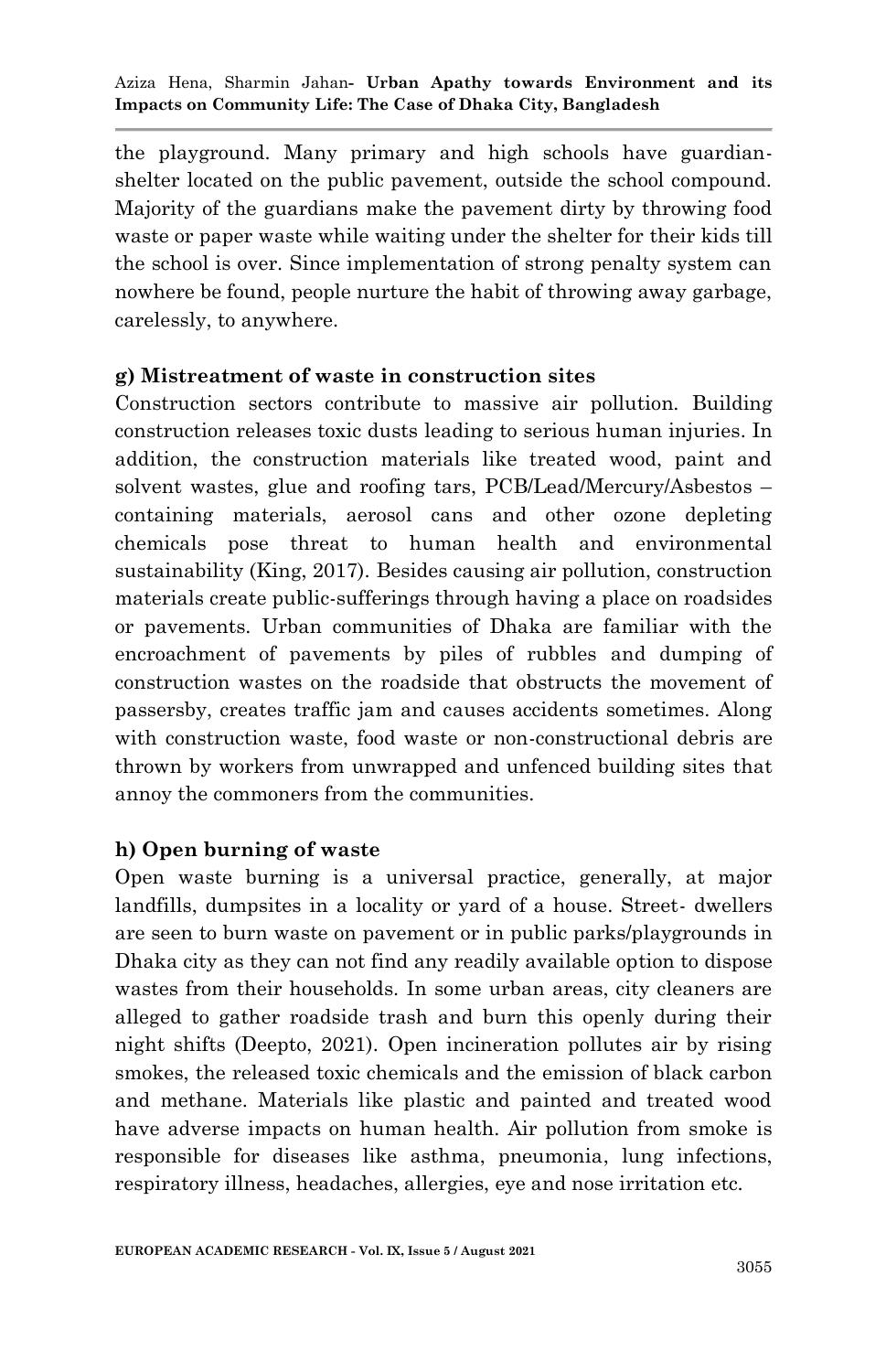the playground. Many primary and high schools have guardianshelter located on the public pavement, outside the school compound. Majority of the guardians make the pavement dirty by throwing food waste or paper waste while waiting under the shelter for their kids till the school is over. Since implementation of strong penalty system can nowhere be found, people nurture the habit of throwing away garbage, carelessly, to anywhere.

## **g) Mistreatment of waste in construction sites**

Construction sectors contribute to massive air pollution. Building construction releases toxic dusts leading to serious human injuries. In addition, the construction materials like treated wood, paint and solvent wastes, glue and roofing tars, PCB/Lead/Mercury/Asbestos – containing materials, aerosol cans and other ozone depleting chemicals pose threat to human health and environmental sustainability (King, 2017). Besides causing air pollution, construction materials create public-sufferings through having a place on roadsides or pavements. Urban communities of Dhaka are familiar with the encroachment of pavements by piles of rubbles and dumping of construction wastes on the roadside that obstructs the movement of passersby, creates traffic jam and causes accidents sometimes. Along with construction waste, food waste or non-constructional debris are thrown by workers from unwrapped and unfenced building sites that annoy the commoners from the communities.

## **h) Open burning of waste**

Open waste burning is a universal practice, generally, at major landfills, dumpsites in a locality or yard of a house. Street- dwellers are seen to burn waste on pavement or in public parks/playgrounds in Dhaka city as they can not find any readily available option to dispose wastes from their households. In some urban areas, city cleaners are alleged to gather roadside trash and burn this openly during their night shifts (Deepto, 2021). Open incineration pollutes air by rising smokes, the released toxic chemicals and the emission of black carbon and methane. Materials like plastic and painted and treated wood have adverse impacts on human health. Air pollution from smoke is responsible for diseases like asthma, pneumonia, lung infections, respiratory illness, headaches, allergies, eye and nose irritation etc.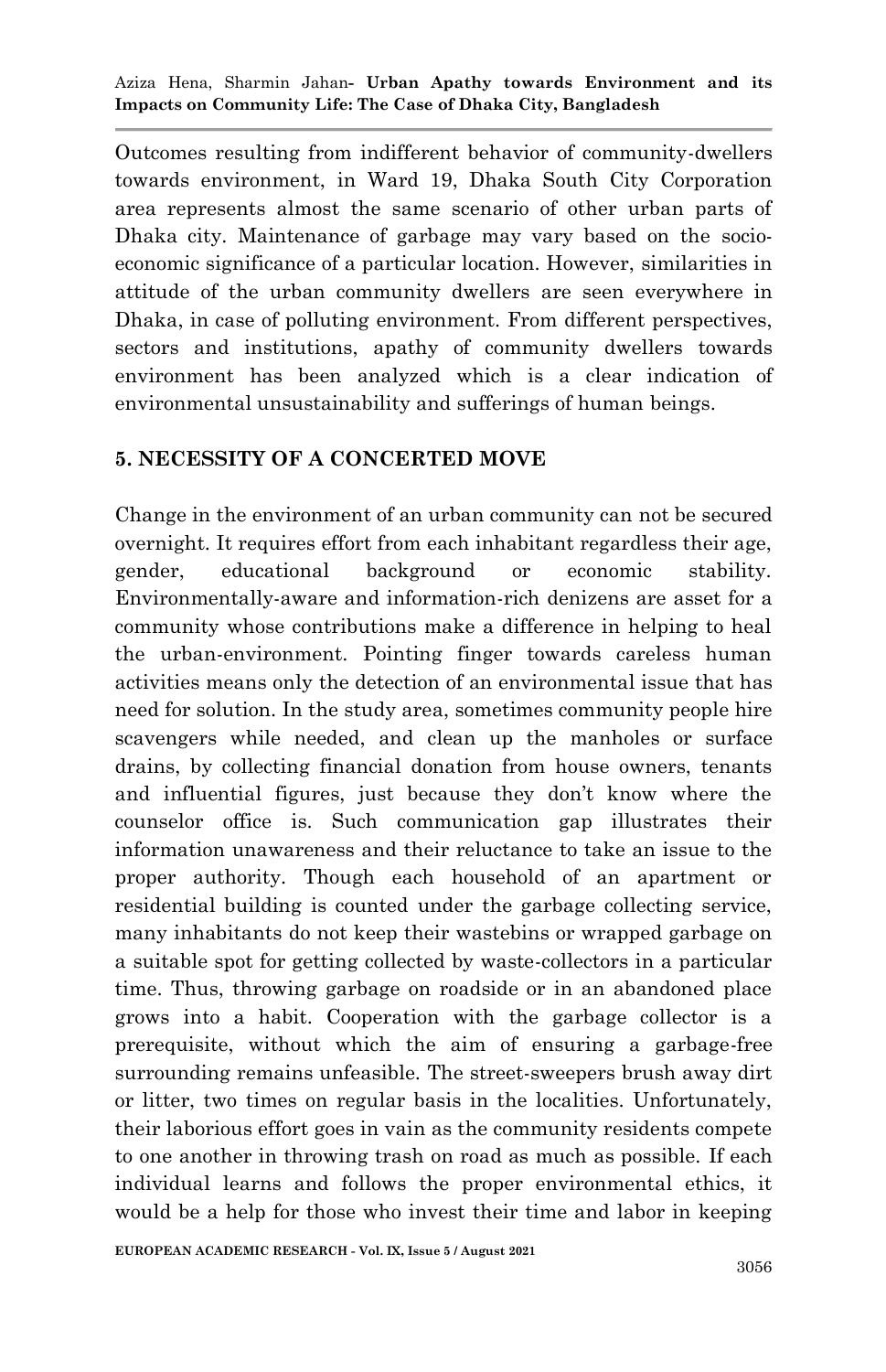Outcomes resulting from indifferent behavior of community-dwellers towards environment, in Ward 19, Dhaka South City Corporation area represents almost the same scenario of other urban parts of Dhaka city. Maintenance of garbage may vary based on the socioeconomic significance of a particular location. However, similarities in attitude of the urban community dwellers are seen everywhere in Dhaka, in case of polluting environment. From different perspectives, sectors and institutions, apathy of community dwellers towards environment has been analyzed which is a clear indication of environmental unsustainability and sufferings of human beings.

## **5. NECESSITY OF A CONCERTED MOVE**

Change in the environment of an urban community can not be secured overnight. It requires effort from each inhabitant regardless their age, gender, educational background or economic stability. Environmentally-aware and information-rich denizens are asset for a community whose contributions make a difference in helping to heal the urban-environment. Pointing finger towards careless human activities means only the detection of an environmental issue that has need for solution. In the study area, sometimes community people hire scavengers while needed, and clean up the manholes or surface drains, by collecting financial donation from house owners, tenants and influential figures, just because they don"t know where the counselor office is. Such communication gap illustrates their information unawareness and their reluctance to take an issue to the proper authority. Though each household of an apartment or residential building is counted under the garbage collecting service, many inhabitants do not keep their wastebins or wrapped garbage on a suitable spot for getting collected by waste-collectors in a particular time. Thus, throwing garbage on roadside or in an abandoned place grows into a habit. Cooperation with the garbage collector is a prerequisite, without which the aim of ensuring a garbage-free surrounding remains unfeasible. The street-sweepers brush away dirt or litter, two times on regular basis in the localities. Unfortunately, their laborious effort goes in vain as the community residents compete to one another in throwing trash on road as much as possible. If each individual learns and follows the proper environmental ethics, it would be a help for those who invest their time and labor in keeping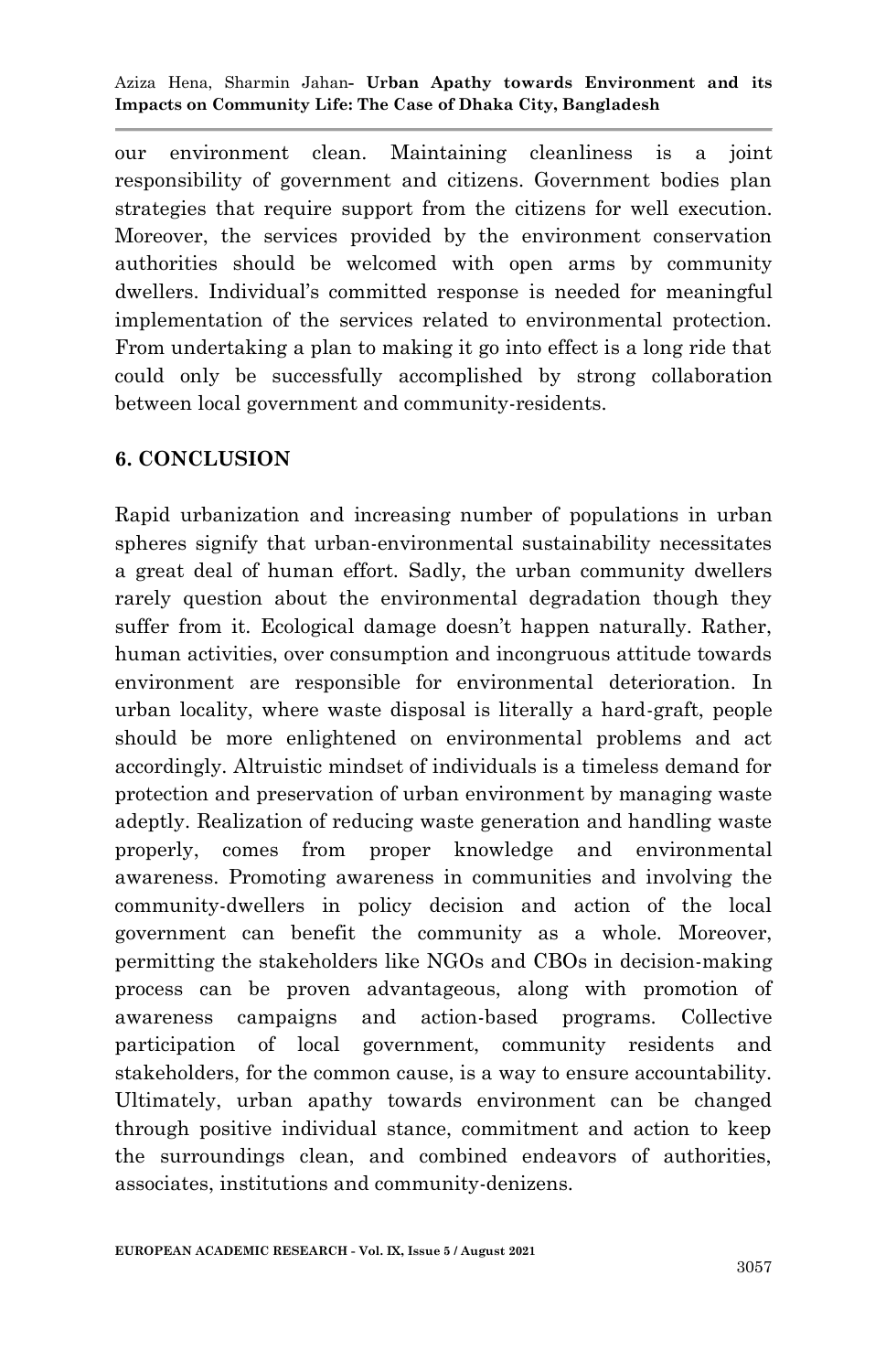our environment clean. Maintaining cleanliness is a joint responsibility of government and citizens. Government bodies plan strategies that require support from the citizens for well execution. Moreover, the services provided by the environment conservation authorities should be welcomed with open arms by community dwellers. Individual"s committed response is needed for meaningful implementation of the services related to environmental protection. From undertaking a plan to making it go into effect is a long ride that could only be successfully accomplished by strong collaboration between local government and community-residents.

## **6. CONCLUSION**

Rapid urbanization and increasing number of populations in urban spheres signify that urban-environmental sustainability necessitates a great deal of human effort. Sadly, the urban community dwellers rarely question about the environmental degradation though they suffer from it. Ecological damage doesn't happen naturally. Rather, human activities, over consumption and incongruous attitude towards environment are responsible for environmental deterioration. In urban locality, where waste disposal is literally a hard-graft, people should be more enlightened on environmental problems and act accordingly. Altruistic mindset of individuals is a timeless demand for protection and preservation of urban environment by managing waste adeptly. Realization of reducing waste generation and handling waste properly, comes from proper knowledge and environmental awareness. Promoting awareness in communities and involving the community-dwellers in policy decision and action of the local government can benefit the community as a whole. Moreover, permitting the stakeholders like NGOs and CBOs in decision-making process can be proven advantageous, along with promotion of awareness campaigns and action-based programs. Collective participation of local government, community residents and stakeholders, for the common cause, is a way to ensure accountability. Ultimately, urban apathy towards environment can be changed through positive individual stance, commitment and action to keep the surroundings clean, and combined endeavors of authorities, associates, institutions and community-denizens.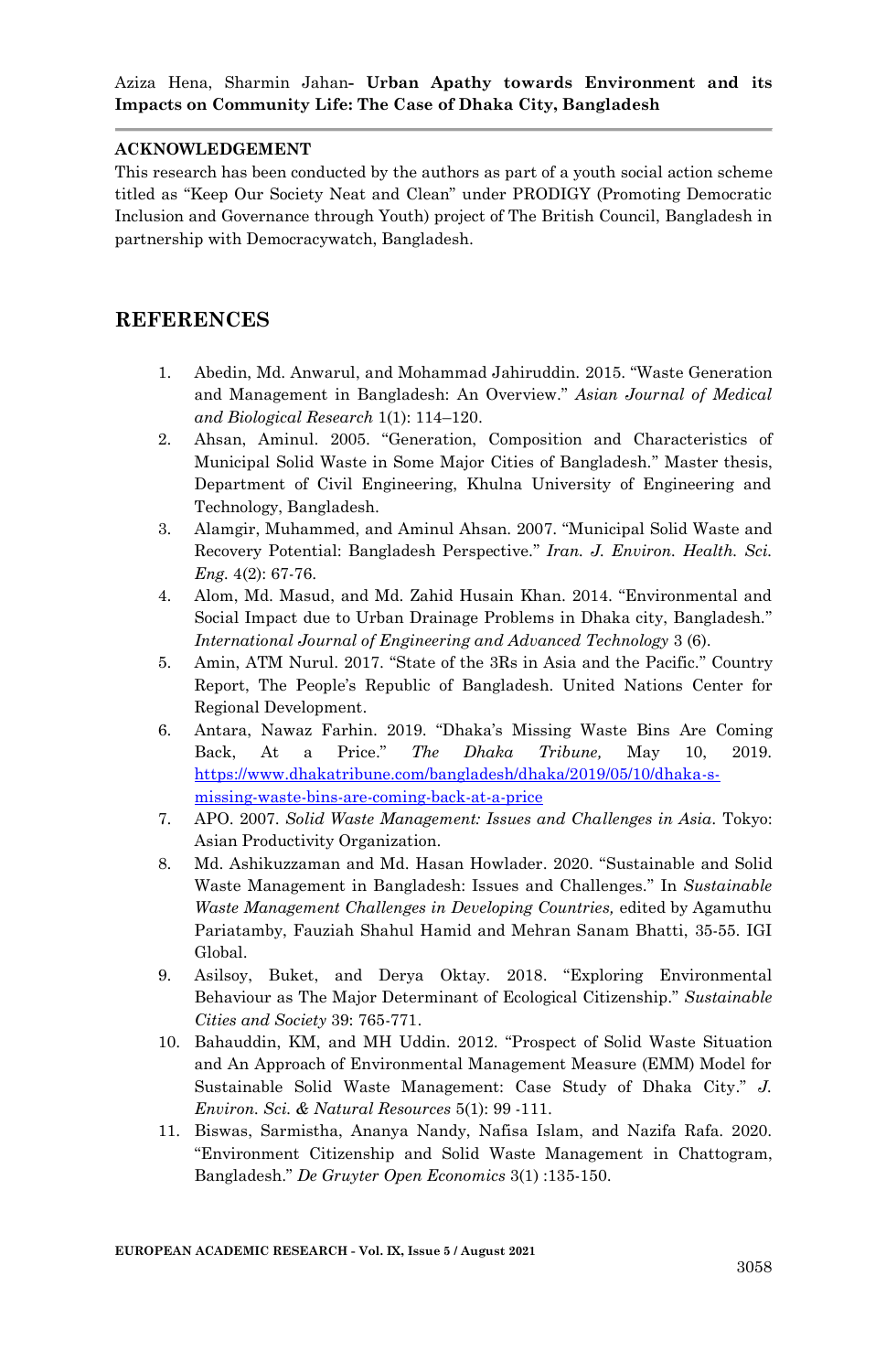#### **ACKNOWLEDGEMENT**

This research has been conducted by the authors as part of a youth social action scheme titled as "Keep Our Society Neat and Clean" under PRODIGY (Promoting Democratic Inclusion and Governance through Youth) project of The British Council, Bangladesh in partnership with Democracywatch, Bangladesh.

#### **REFERENCES**

- 1. Abedin, Md. Anwarul, and Mohammad Jahiruddin. 2015. "Waste Generation and Management in Bangladesh: An Overview." *Asian Journal of Medical and Biological Research* 1(1): 114–120.
- 2. Ahsan, Aminul. 2005. "Generation, Composition and Characteristics of Municipal Solid Waste in Some Major Cities of Bangladesh." Master thesis, Department of Civil Engineering, Khulna University of Engineering and Technology, Bangladesh.
- 3. Alamgir, Muhammed, and Aminul Ahsan. 2007. "Municipal Solid Waste and Recovery Potential: Bangladesh Perspective." *Iran. J. Environ. Health. Sci. Eng.* 4(2): 67-76.
- 4. Alom, Md. Masud, and Md. Zahid Husain Khan. 2014. "Environmental and Social Impact due to Urban Drainage Problems in Dhaka city, Bangladesh." *International Journal of Engineering and Advanced Technology* 3 (6).
- 5. Amin, ATM Nurul. 2017. "State of the 3Rs in Asia and the Pacific." Country Report, The People"s Republic of Bangladesh. United Nations Center for Regional Development.
- 6. Antara, Nawaz Farhin. 2019. "Dhaka"s Missing Waste Bins Are Coming Back, At a Price." *The Dhaka Tribune,* May 10, 2019. [https://www.dhakatribune.com/bangladesh/dhaka/2019/05/10/dhaka-s](https://www.dhakatribune.com/bangladesh/dhaka/2019/05/10/dhaka-s-missing-waste-bins-are-coming-back-at-a-price)[missing-waste-bins-are-coming-back-at-a-price](https://www.dhakatribune.com/bangladesh/dhaka/2019/05/10/dhaka-s-missing-waste-bins-are-coming-back-at-a-price)
- 7. APO. 2007. *Solid Waste Management: Issues and Challenges in Asia.* Tokyo: Asian Productivity Organization.
- 8. Md. Ashikuzzaman and Md. Hasan Howlader. 2020. "Sustainable and Solid Waste Management in Bangladesh: Issues and Challenges." In *Sustainable Waste Management Challenges in Developing Countries,* edited by Agamuthu Pariatamby, Fauziah Shahul Hamid and Mehran Sanam Bhatti, 35-55. IGI Global.
- 9. Asilsoy, Buket, and Derya Oktay. 2018. "Exploring Environmental Behaviour as The Major Determinant of Ecological Citizenship." *Sustainable Cities and Society* 39: 765-771.
- 10. Bahauddin, KM, and MH Uddin. 2012. "Prospect of Solid Waste Situation and An Approach of Environmental Management Measure (EMM) Model for Sustainable Solid Waste Management: Case Study of Dhaka City." *J. Environ. Sci. & Natural Resources* 5(1): 99 -111.
- 11. Biswas, Sarmistha, Ananya Nandy, Nafisa Islam, and Nazifa Rafa. 2020. "Environment Citizenship and Solid Waste Management in Chattogram, Bangladesh." *De Gruyter Open Economics* 3(1) :135-150.